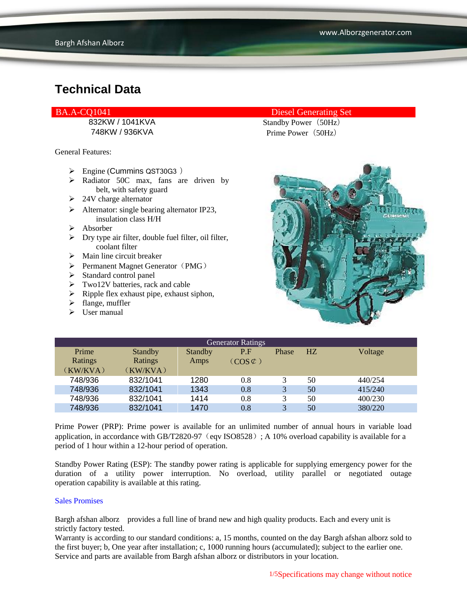General Features:

- $\triangleright$  Engine (Cummins QST30G3)
- > Radiator 50C max, fans are driven by belt, with safety guard
- $\geq 24V$  charge alternator
- $\triangleright$  Alternator: single bearing alternator IP23, insulation class H/H
- $\triangleright$  Absorber
- $\triangleright$  Dry type air filter, double fuel filter, oil filter, coolant filter
- $\triangleright$  Main line circuit breaker
- $\triangleright$  Permanent Magnet Generator (PMG)
- $\triangleright$  Standard control panel
- Two12V batteries, rack and cable
- $\triangleright$  Ripple flex exhaust pipe, exhaust siphon,
- $\triangleright$  flange, muffler
- $\triangleright$  User manual

#### BA.A-CQ1041 Diesel Generating Set

832KW / 1041KVA Standby Power (50Hz) 748KW / 936KVA Prime Power (50Hz)



| <b>Generator Ratings</b> |                |                |                     |              |                |         |
|--------------------------|----------------|----------------|---------------------|--------------|----------------|---------|
| Prime                    | <b>Standby</b> | <b>Standby</b> | P.F                 | Phase        | H <sub>Z</sub> | Voltage |
| Ratings                  | Ratings        | Amps           | $(COS \mathcal{L})$ |              |                |         |
| (KW/KVA)                 | (KW/KVA)       |                |                     |              |                |         |
| 748/936                  | 832/1041       | 1280           | 0.8                 |              | 50             | 440/254 |
| 748/936                  | 832/1041       | 1343           | 0.8                 | 3            | 50             | 415/240 |
| 748/936                  | 832/1041       | 1414           | 0.8                 | 3            | 50             | 400/230 |
| 748/936                  | 832/1041       | 1470           | 0.8                 | $\mathbf{R}$ | 50             | 380/220 |

Prime Power (PRP): Prime power is available for an unlimited number of annual hours in variable load application, in accordance with GB/T2820-97 (eqv ISO8528); A 10% overload capability is available for a period of 1 hour within a 12-hour period of operation.

Standby Power Rating (ESP): The standby power rating is applicable for supplying emergency power for the duration of a utility power interruption. No overload, utility parallel or negotiated outage operation capability is available at this rating.

#### Sales Promises

Bargh afshan alborz provides a full line of brand new and high quality products. Each and every unit is strictly factory tested.

Warranty is according to our standard conditions: a, 15 months, counted on the day Bargh afshan alborz sold to the first buyer; b, One year after installation; c, 1000 running hours (accumulated); subject to the earlier one. Service and parts are available from Bargh afshan alborz or distributors in your location.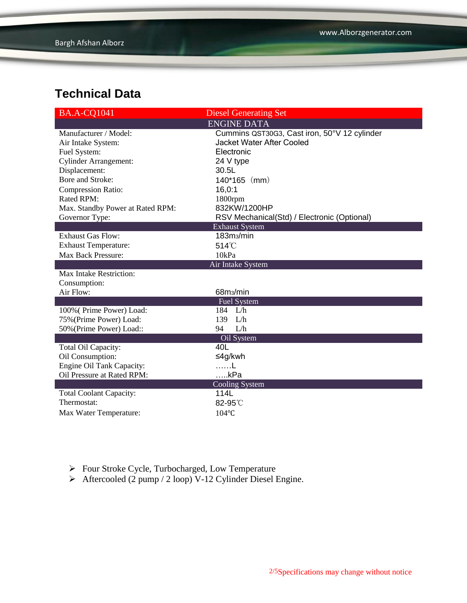| <b>BA.A-CQ1041</b>                    | <b>Diesel Generating Set</b>                 |  |  |
|---------------------------------------|----------------------------------------------|--|--|
|                                       | <b>ENGINE DATA</b>                           |  |  |
| Manufacturer / Model:                 | Cummins QST30G3, Cast iron, 50°V 12 cylinder |  |  |
| Air Intake System:                    | <b>Jacket Water After Cooled</b>             |  |  |
| Fuel System:                          | Electronic                                   |  |  |
| <b>Cylinder Arrangement:</b>          | 24 V type                                    |  |  |
| Displacement:                         | 30.5L                                        |  |  |
| Bore and Stroke:                      | $140*165$ (mm)                               |  |  |
| Compression Ratio:                    | 16,0:1                                       |  |  |
| Rated RPM:                            | 1800rpm                                      |  |  |
| Max. Standby Power at Rated RPM:      | 832KW/1200HP                                 |  |  |
| Governor Type:                        | RSV Mechanical(Std) / Electronic (Optional)  |  |  |
|                                       | <b>Exhaust System</b>                        |  |  |
| <b>Exhaust Gas Flow:</b>              | 183m <sub>3</sub> /min                       |  |  |
| <b>Exhaust Temperature:</b>           | $514^{\circ}$ C                              |  |  |
| <b>Max Back Pressure:</b>             | 10kPa                                        |  |  |
| Air Intake System                     |                                              |  |  |
|                                       |                                              |  |  |
| Max Intake Restriction:               |                                              |  |  |
| Consumption:                          |                                              |  |  |
| Air Flow:                             | 68m <sub>3</sub> /min                        |  |  |
|                                       | <b>Fuel System</b>                           |  |  |
| 100% (Prime Power) Load:              | 184 L/h                                      |  |  |
| 75% (Prime Power) Load:               | 139<br>L/h                                   |  |  |
| 50% (Prime Power) Load::              | L/h<br>94                                    |  |  |
|                                       | Oil System                                   |  |  |
| Total Oil Capacity:                   | 40L                                          |  |  |
| Oil Consumption:                      | ≤4g/kwh                                      |  |  |
| <b>Engine Oil Tank Capacity:</b>      |                                              |  |  |
| Oil Pressure at Rated RPM:            | $$ kPa                                       |  |  |
|                                       | <b>Cooling System</b>                        |  |  |
| <b>Total Coolant Capacity:</b>        | 114L                                         |  |  |
| Thermostat:<br>Max Water Temperature: | 82-95°C<br>104°C                             |  |  |

- Four Stroke Cycle, Turbocharged, Low Temperature
- Aftercooled  $(2 \text{ pump} / 2 \text{ loop}) \text{V-12}$  Cylinder Diesel Engine.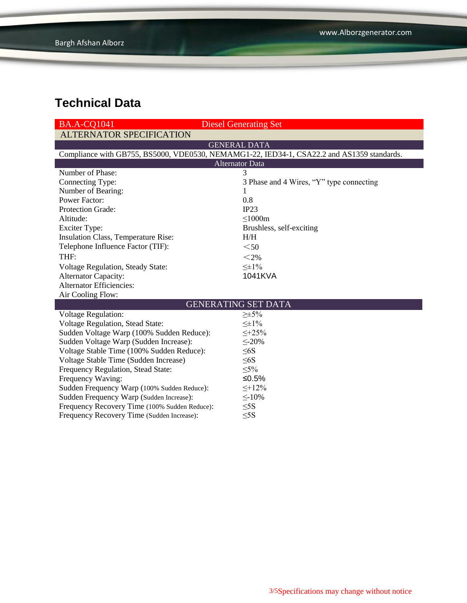| <b>BA.A-CO1041</b>                                                                         | <b>Diesel Generating Set</b>             |  |  |  |  |
|--------------------------------------------------------------------------------------------|------------------------------------------|--|--|--|--|
| <b>ALTERNATOR SPECIFICATION</b>                                                            |                                          |  |  |  |  |
|                                                                                            | <b>GENERAL DATA</b>                      |  |  |  |  |
| Compliance with GB755, BS5000, VDE0530, NEMAMG1-22, IED34-1, CSA22.2 and AS1359 standards. |                                          |  |  |  |  |
| <b>Alternator Data</b>                                                                     |                                          |  |  |  |  |
| Number of Phase:                                                                           | 3                                        |  |  |  |  |
| Connecting Type:                                                                           | 3 Phase and 4 Wires, "Y" type connecting |  |  |  |  |
| Number of Bearing:                                                                         | 1                                        |  |  |  |  |
| <b>Power Factor:</b>                                                                       | 0.8                                      |  |  |  |  |
| Protection Grade:                                                                          | IP23                                     |  |  |  |  |
| Altitude:                                                                                  | $\leq$ 1000m                             |  |  |  |  |
| <b>Exciter Type:</b>                                                                       | Brushless, self-exciting                 |  |  |  |  |
| Insulation Class, Temperature Rise:                                                        | H/H                                      |  |  |  |  |
| Telephone Influence Factor (TIF):                                                          | $50$                                     |  |  |  |  |
| THF:                                                                                       | $<$ 2%                                   |  |  |  |  |
| <b>Voltage Regulation, Steady State:</b>                                                   | $\leq \pm 1\%$                           |  |  |  |  |
| <b>Alternator Capacity:</b>                                                                | 1041KVA                                  |  |  |  |  |
| <b>Alternator Efficiencies:</b>                                                            |                                          |  |  |  |  |
| Air Cooling Flow:                                                                          |                                          |  |  |  |  |
| <b>GENERATING SET DATA</b>                                                                 |                                          |  |  |  |  |
| <b>Voltage Regulation:</b>                                                                 | $\geq \pm 5\%$                           |  |  |  |  |
| Voltage Regulation, Stead State:                                                           | $\leq \pm 1\%$                           |  |  |  |  |
| Sudden Voltage Warp (100% Sudden Reduce):                                                  | $\leq +25\%$                             |  |  |  |  |
| Sudden Voltage Warp (Sudden Increase):                                                     | $\leq 20\%$                              |  |  |  |  |
| Voltage Stable Time (100% Sudden Reduce):                                                  | $\leq 6S$                                |  |  |  |  |
| Voltage Stable Time (Sudden Increase)                                                      | $\leq 6S$                                |  |  |  |  |
| Frequency Regulation, Stead State:                                                         | $\leq 5\%$                               |  |  |  |  |
| Frequency Waving:                                                                          | ≤0.5%                                    |  |  |  |  |
| Sudden Frequency Warp (100% Sudden Reduce):                                                | $\leq +12\%$                             |  |  |  |  |
| Sudden Frequency Warp (Sudden Increase):                                                   | $\leq$ -10%                              |  |  |  |  |
| Frequency Recovery Time (100% Sudden Reduce):                                              | $\leq$ 5S                                |  |  |  |  |
| Frequency Recovery Time (Sudden Increase):                                                 | $\leq$ 5S                                |  |  |  |  |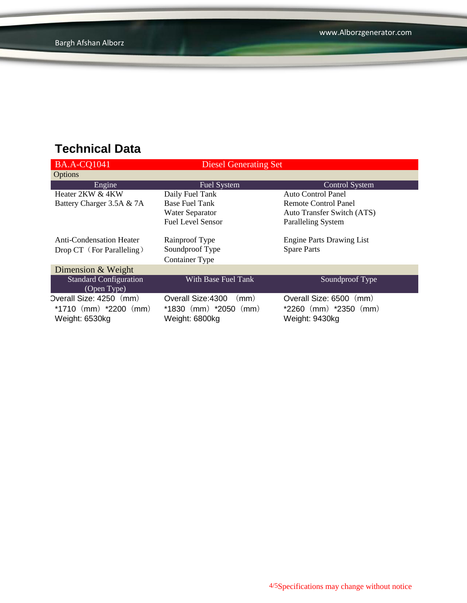| <b>BA.A-CQ1041</b>              | Diesel Generating Set      |                                  |
|---------------------------------|----------------------------|----------------------------------|
| Options                         |                            |                                  |
| Engine                          | <b>Fuel System</b>         | <b>Control System</b>            |
| Heater 2KW & 4KW                | Daily Fuel Tank            | Auto Control Panel               |
| Battery Charger 3.5A & 7A       | <b>Base Fuel Tank</b>      | <b>Remote Control Panel</b>      |
|                                 | Water Separator            | Auto Transfer Switch (ATS)       |
|                                 | <b>Fuel Level Sensor</b>   | <b>Paralleling System</b>        |
|                                 |                            |                                  |
| <b>Anti-Condensation Heater</b> | Rainproof Type             | <b>Engine Parts Drawing List</b> |
| Drop CT (For Paralleling)       | Soundproof Type            | <b>Spare Parts</b>               |
|                                 | <b>Container Type</b>      |                                  |
| Dimension & Weight              |                            |                                  |
| <b>Standard Configuration</b>   | With Base Fuel Tank        | Soundproof Type                  |
| (Open Type)                     |                            |                                  |
| Overall Size: 4250 (mm)         | Overall Size: 4300<br>(mm) | Overall Size: 6500<br>(mm)       |
| *1710 $(mm)$ *2200 $(mm)$       | $*1830$ (mm) $*2050$ (mm)  | $*2260$ (mm) $*2350$ (mm)        |
| Weight: 6530kg                  | Weight: 6800kg             | Weight: 9430kg                   |